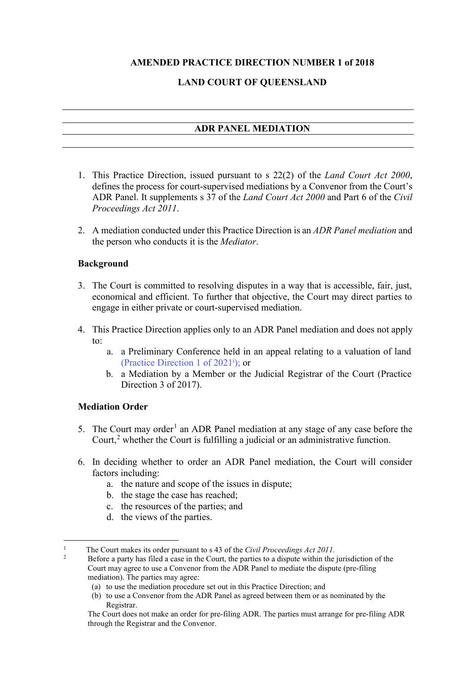## **AMENDED PRACTICE DIRECTION NUMBER 1 of 2018**

### **LAND COURT OF QUEENSLAND**

#### **ADR PANEL MEDIATION**

- 1. This Practice Direction, issued pursuant to s 22(2) of the *Land Court Act 2000*, defines the process for court-supervised mediations by a Convenor from the Court's ADR Panel. It supplements s 37 of the *Land Court Act 2000* and Part 6 of the *Civil Proceedings Act 2011*.
- 2. A mediation conducted under this Practice Direction is an *ADR Panel mediation* and the person who conducts it is the *Mediator*.

#### **Background**

- 3. The Court is committed to resolving disputes in a way that is accessible, fair, just, economical and efficient. To further that objective, the Court may direct parties to engage in either private or court-supervised mediation.
- 4. This Practice Direction applies only to an ADR Panel mediation and does not apply to:
	- a. a Preliminary Conference held in an appeal relating to a valuation of land (Practice Direction 1 of 2021<sup>i</sup> ); or
	- b. a Mediation by a Member or the Judicial Registrar of the Court (Practice Direction 3 of 2017).

#### **Mediation Order**

- 5. The Court may order<sup>[1](#page-0-0)</sup> an ADR Panel mediation at any stage of any case before the Court,<sup>[2](#page-0-1)</sup> whether the Court is fulfilling a judicial or an administrative function.
- 6. In deciding whether to order an ADR Panel mediation, the Court will consider factors including:
	- a. the nature and scope of the issues in dispute;
	- b. the stage the case has reached;
	- c. the resources of the parties; and
	- d. the views of the parties.

<span id="page-0-1"></span><span id="page-0-0"></span><sup>&</sup>lt;sup>1</sup> The Court makes its order pursuant to s 43 of the *Civil Proceedings Act 2011*.<br><sup>2</sup> Before a party has filed a case in the Court, the parties to a dispute within the jurisdiction of the Court may agree to use a Convenor from the ADR Panel to mediate the dispute (pre-filing mediation). The parties may agree:

<sup>(</sup>a) to use the mediation procedure set out in this Practice Direction; and

<sup>(</sup>b) to use a Convenor from the ADR Panel as agreed between them or as nominated by the Registrar.

The Court does not make an order for pre-filing ADR. The parties must arrange for pre-filing ADR through the Registrar and the Convenor.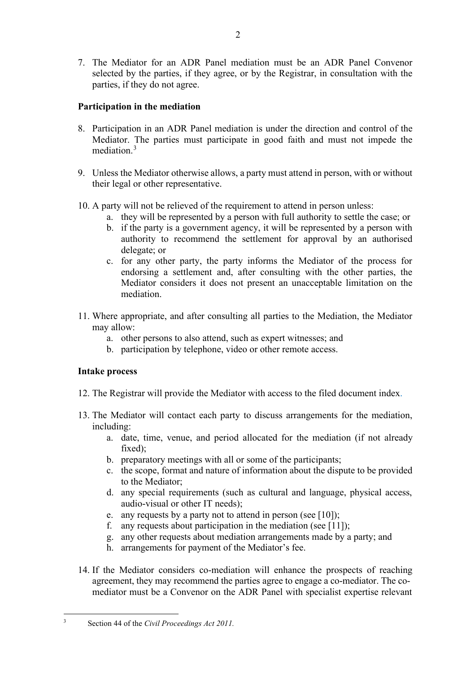7. The Mediator for an ADR Panel mediation must be an ADR Panel Convenor selected by the parties, if they agree, or by the Registrar, in consultation with the parties, if they do not agree.

# **Participation in the mediation**

- 8. Participation in an ADR Panel mediation is under the direction and control of the Mediator. The parties must participate in good faith and must not impede the mediation.<sup>[3](#page-1-0)</sup>
- 9. Unless the Mediator otherwise allows, a party must attend in person, with or without their legal or other representative.
- 10. A party will not be relieved of the requirement to attend in person unless:
	- a. they will be represented by a person with full authority to settle the case; or
	- b. if the party is a government agency, it will be represented by a person with authority to recommend the settlement for approval by an authorised delegate; or
	- c. for any other party, the party informs the Mediator of the process for endorsing a settlement and, after consulting with the other parties, the Mediator considers it does not present an unacceptable limitation on the mediation.
- 11. Where appropriate, and after consulting all parties to the Mediation, the Mediator may allow:
	- a. other persons to also attend, such as expert witnesses; and
	- b. participation by telephone, video or other remote access.

## **Intake process**

- 12. The Registrar will provide the Mediator with access to the filed document index.
- 13. The Mediator will contact each party to discuss arrangements for the mediation, including:
	- a. date, time, venue, and period allocated for the mediation (if not already fixed);
	- b. preparatory meetings with all or some of the participants;
	- c. the scope, format and nature of information about the dispute to be provided to the Mediator;
	- d. any special requirements (such as cultural and language, physical access, audio-visual or other IT needs);
	- e. any requests by a party not to attend in person (see [10]);
	- f. any requests about participation in the mediation (see [11]);
	- g. any other requests about mediation arrangements made by a party; and
	- h. arrangements for payment of the Mediator's fee.
- 14. If the Mediator considers co-mediation will enhance the prospects of reaching agreement, they may recommend the parties agree to engage a co-mediator. The comediator must be a Convenor on the ADR Panel with specialist expertise relevant

<span id="page-1-0"></span><sup>3</sup> Section 44 of the *Civil Proceedings Act 2011.*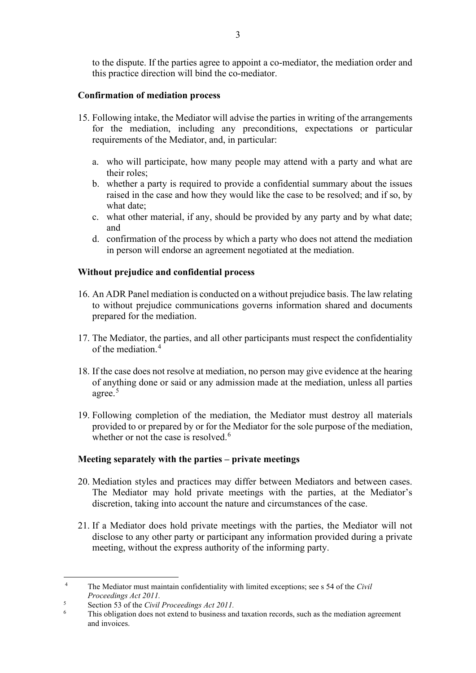to the dispute. If the parties agree to appoint a co-mediator, the mediation order and this practice direction will bind the co-mediator.

## **Confirmation of mediation process**

- 15. Following intake, the Mediator will advise the parties in writing of the arrangements for the mediation, including any preconditions, expectations or particular requirements of the Mediator, and, in particular:
	- a. who will participate, how many people may attend with a party and what are their roles;
	- b. whether a party is required to provide a confidential summary about the issues raised in the case and how they would like the case to be resolved; and if so, by what date;
	- c. what other material, if any, should be provided by any party and by what date; and
	- d. confirmation of the process by which a party who does not attend the mediation in person will endorse an agreement negotiated at the mediation.

#### **Without prejudice and confidential process**

- 16. An ADR Panel mediation is conducted on a without prejudice basis. The law relating to without prejudice communications governs information shared and documents prepared for the mediation.
- 17. The Mediator, the parties, and all other participants must respect the confidentiality of the mediation. [4](#page-2-0)
- 18. If the case does not resolve at mediation, no person may give evidence at the hearing of anything done or said or any admission made at the mediation, unless all parties agree.<sup>[5](#page-2-1)</sup>
- 19. Following completion of the mediation, the Mediator must destroy all materials provided to or prepared by or for the Mediator for the sole purpose of the mediation, whether or not the case is resolved.<sup>[6](#page-2-2)</sup>

#### **Meeting separately with the parties – private meetings**

- 20. Mediation styles and practices may differ between Mediators and between cases. The Mediator may hold private meetings with the parties, at the Mediator's discretion, taking into account the nature and circumstances of the case.
- 21. If a Mediator does hold private meetings with the parties, the Mediator will not disclose to any other party or participant any information provided during a private meeting, without the express authority of the informing party.

<span id="page-2-0"></span><sup>4</sup> The Mediator must maintain confidentiality with limited exceptions; see s 54 of the *Civil Proceedings Act 2011.*

<span id="page-2-1"></span><sup>5</sup> Section 53 of the *Civil Proceedings Act 2011.*

<span id="page-2-2"></span><sup>6</sup> This obligation does not extend to business and taxation records, such as the mediation agreement and invoices.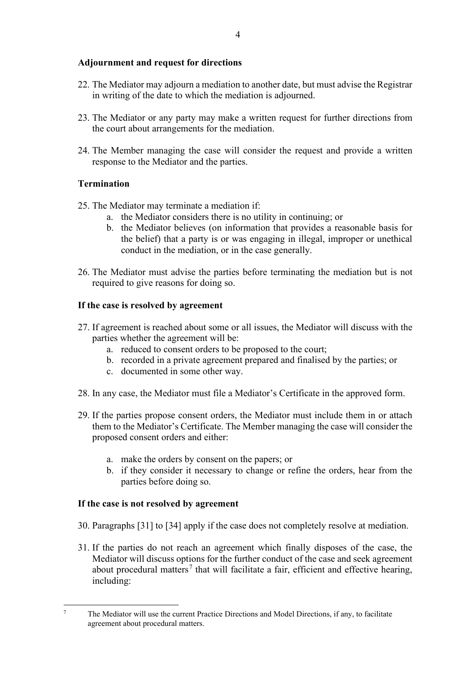### **Adjournment and request for directions**

- 22. The Mediator may adjourn a mediation to another date, but must advise the Registrar in writing of the date to which the mediation is adjourned.
- 23. The Mediator or any party may make a written request for further directions from the court about arrangements for the mediation.
- 24. The Member managing the case will consider the request and provide a written response to the Mediator and the parties.

## **Termination**

- 25. The Mediator may terminate a mediation if:
	- a. the Mediator considers there is no utility in continuing; or
	- b. the Mediator believes (on information that provides a reasonable basis for the belief) that a party is or was engaging in illegal, improper or unethical conduct in the mediation, or in the case generally.
- 26. The Mediator must advise the parties before terminating the mediation but is not required to give reasons for doing so.

## **If the case is resolved by agreement**

- 27. If agreement is reached about some or all issues, the Mediator will discuss with the parties whether the agreement will be:
	- a. reduced to consent orders to be proposed to the court;
	- b. recorded in a private agreement prepared and finalised by the parties; or
	- c. documented in some other way.
- 28. In any case, the Mediator must file a Mediator's Certificate in the approved form.
- 29. If the parties propose consent orders, the Mediator must include them in or attach them to the Mediator's Certificate. The Member managing the case will consider the proposed consent orders and either:
	- a. make the orders by consent on the papers; or
	- b. if they consider it necessary to change or refine the orders, hear from the parties before doing so.

## **If the case is not resolved by agreement**

30. Paragraphs [31] to [34] apply if the case does not completely resolve at mediation.

31. If the parties do not reach an agreement which finally disposes of the case, the Mediator will discuss options for the further conduct of the case and seek agreement about procedural matters<sup>[7](#page-3-0)</sup> that will facilitate a fair, efficient and effective hearing, including:

<span id="page-3-0"></span><sup>&</sup>lt;sup>7</sup> The Mediator will use the current Practice Directions and Model Directions, if any, to facilitate agreement about procedural matters.